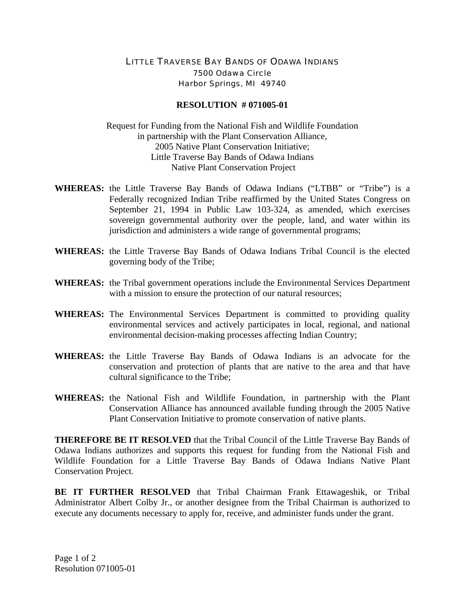## LITTLE TRAVERSE BAY BANDS OF ODAWA INDIANS 7500 Odawa Circle Harbor Springs, MI 49740

## **RESOLUTION # 071005-01**

Request for Funding from the National Fish and Wildlife Foundation in partnership with the Plant Conservation Alliance, 2005 Native Plant Conservation Initiative; Little Traverse Bay Bands of Odawa Indians Native Plant Conservation Project

- **WHEREAS:** the Little Traverse Bay Bands of Odawa Indians ("LTBB" or "Tribe") is a Federally recognized Indian Tribe reaffirmed by the United States Congress on September 21, 1994 in Public Law 103-324, as amended, which exercises sovereign governmental authority over the people, land, and water within its jurisdiction and administers a wide range of governmental programs;
- **WHEREAS:** the Little Traverse Bay Bands of Odawa Indians Tribal Council is the elected governing body of the Tribe;
- **WHEREAS:** the Tribal government operations include the Environmental Services Department with a mission to ensure the protection of our natural resources;
- **WHEREAS:** The Environmental Services Department is committed to providing quality environmental services and actively participates in local, regional, and national environmental decision-making processes affecting Indian Country;
- **WHEREAS:** the Little Traverse Bay Bands of Odawa Indians is an advocate for the conservation and protection of plants that are native to the area and that have cultural significance to the Tribe;
- **WHEREAS:** the National Fish and Wildlife Foundation, in partnership with the Plant Conservation Alliance has announced available funding through the 2005 Native Plant Conservation Initiative to promote conservation of native plants.

**THEREFORE BE IT RESOLVED** that the Tribal Council of the Little Traverse Bay Bands of Odawa Indians authorizes and supports this request for funding from the National Fish and Wildlife Foundation for a Little Traverse Bay Bands of Odawa Indians Native Plant Conservation Project.

**BE IT FURTHER RESOLVED** that Tribal Chairman Frank Ettawageshik, or Tribal Administrator Albert Colby Jr., or another designee from the Tribal Chairman is authorized to execute any documents necessary to apply for, receive, and administer funds under the grant.